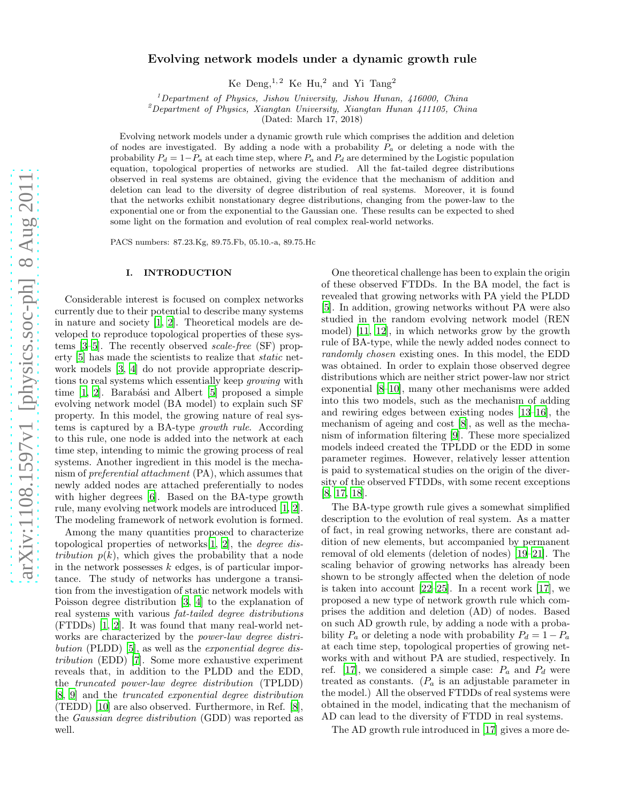# Evolving network models under a dynamic growth rule

Ke  $Deng,^{1,2}$  Ke  $Hu,^2$  and Yi  $Tang^2$ 

<sup>1</sup>Department of Physics, Jishou University, Jishou Hunan, 416000, China

 $2$ Department of Physics, Xiangtan University, Xiangtan Hunan 411105, China

(Dated: March 17, 2018)

Evolving network models under a dynamic growth rule which comprises the addition and deletion of nodes are investigated. By adding a node with a probability  $P_a$  or deleting a node with the probability  $P_d = 1-P_a$  at each time step, where  $P_a$  and  $P_d$  are determined by the Logistic population equation, topological properties of networks are studied. All the fat-tailed degree distributions observed in real systems are obtained, giving the evidence that the mechanism of addition and deletion can lead to the diversity of degree distribution of real systems. Moreover, it is found that the networks exhibit nonstationary degree distributions, changing from the power-law to the exponential one or from the exponential to the Gaussian one. These results can be expected to shed some light on the formation and evolution of real complex real-world networks.

PACS numbers: 87.23.Kg, 89.75.Fb, 05.10.-a, 89.75.Hc

## I. INTRODUCTION

Considerable interest is focused on complex networks currently due to their potential to describe many systems in nature and society [\[1,](#page-3-0) [2\]](#page-3-1). Theoretical models are developed to reproduce topological properties of these systems [\[3](#page-3-2)[–5](#page-3-3)]. The recently observed scale-free (SF) property [\[5\]](#page-3-3) has made the scientists to realize that static network models [\[3,](#page-3-2) [4\]](#page-3-4) do not provide appropriate descriptions to real systems which essentially keep growing with time  $[1, 2]$  $[1, 2]$  $[1, 2]$ . Barabási and Albert  $[5]$  proposed a simple evolving network model (BA model) to explain such SF property. In this model, the growing nature of real systems is captured by a BA-type growth rule. According to this rule, one node is added into the network at each time step, intending to mimic the growing process of real systems. Another ingredient in this model is the mechanism of preferential attachment (PA), which assumes that newly added nodes are attached preferentially to nodes with higher degrees [\[6\]](#page-3-5). Based on the BA-type growth rule, many evolving network models are introduced [\[1](#page-3-0), [2\]](#page-3-1). The modeling framework of network evolution is formed.

Among the many quantities proposed to characterize topological properties of networks[\[1,](#page-3-0) [2](#page-3-1)], the degree distribution  $p(k)$ , which gives the probability that a node in the network possesses  $k$  edges, is of particular importance. The study of networks has undergone a transition from the investigation of static network models with Poisson degree distribution [\[3,](#page-3-2) [4\]](#page-3-4) to the explanation of real systems with various fat-tailed degree distributions (FTDDs) [\[1,](#page-3-0) [2](#page-3-1)]. It was found that many real-world networks are characterized by the power-law degree distri-bution (PLDD) [\[5\]](#page-3-3), as well as the *exponential degree dis*tribution (EDD) [\[7](#page-3-6)]. Some more exhaustive experiment reveals that, in addition to the PLDD and the EDD, the truncated power-law degree distribution (TPLDD) [\[8,](#page-3-7) [9](#page-3-8)] and the truncated exponential degree distribution (TEDD) [\[10\]](#page-3-9) are also observed. Furthermore, in Ref. [\[8\]](#page-3-7), the Gaussian degree distribution (GDD) was reported as well.

One theoretical challenge has been to explain the origin of these observed FTDDs. In the BA model, the fact is revealed that growing networks with PA yield the PLDD [\[5\]](#page-3-3). In addition, growing networks without PA were also studied in the random evolving network model (REN model) [\[11,](#page-3-10) [12\]](#page-3-11), in which networks grow by the growth rule of BA-type, while the newly added nodes connect to randomly chosen existing ones. In this model, the EDD was obtained. In order to explain those observed degree distributions which are neither strict power-law nor strict exponential [\[8](#page-3-7)[–10\]](#page-3-9), many other mechanisms were added into this two models, such as the mechanism of adding and rewiring edges between existing nodes [\[13](#page-3-12)[–16](#page-3-13)], the mechanism of ageing and cost [\[8](#page-3-7)], as well as the mechanism of information filtering [\[9\]](#page-3-8). These more specialized models indeed created the TPLDD or the EDD in some parameter regimes. However, relatively lesser attention is paid to systematical studies on the origin of the diversity of the observed FTDDs, with some recent exceptions [\[8,](#page-3-7) [17,](#page-3-14) [18\]](#page-3-15).

The BA-type growth rule gives a somewhat simplified description to the evolution of real system. As a matter of fact, in real growing networks, there are constant addition of new elements, but accompanied by permanent removal of old elements (deletion of nodes) [\[19](#page-3-16)[–21\]](#page-4-0). The scaling behavior of growing networks has already been shown to be strongly affected when the deletion of node is taken into account [\[22](#page-4-1)[–25\]](#page-4-2). In a recent work [\[17](#page-3-14)], we proposed a new type of network growth rule which comprises the addition and deletion (AD) of nodes. Based on such AD growth rule, by adding a node with a probability  $P_a$  or deleting a node with probability  $P_d = 1 - P_a$ at each time step, topological properties of growing networks with and without PA are studied, respectively. In ref. [\[17\]](#page-3-14), we considered a simple case:  $P_a$  and  $P_d$  were treated as constants.  $(P_a$  is an adjustable parameter in the model.) All the observed FTDDs of real systems were obtained in the model, indicating that the mechanism of AD can lead to the diversity of FTDD in real systems.

The AD growth rule introduced in [\[17\]](#page-3-14) gives a more de-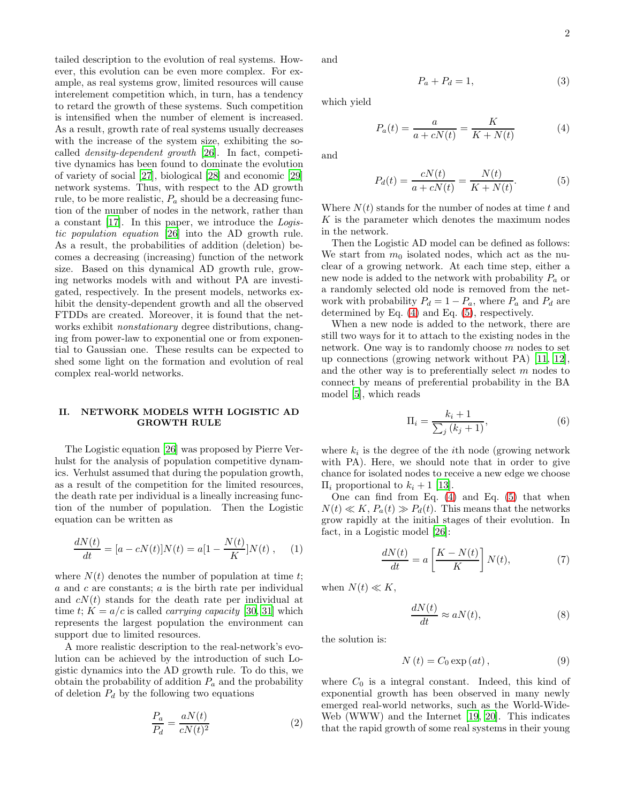tailed description to the evolution of real systems. However, this evolution can be even more complex. For example, as real systems grow, limited resources will cause interelement competition which, in turn, has a tendency to retard the growth of these systems. Such competition is intensified when the number of element is increased. As a result, growth rate of real systems usually decreases with the increase of the system size, exhibiting the socalled density-dependent growth [\[26](#page-4-3)]. In fact, competitive dynamics has been found to dominate the evolution of variety of social [\[27\]](#page-4-4), biological [\[28](#page-4-5)] and economic [\[29](#page-4-6)] network systems. Thus, with respect to the AD growth rule, to be more realistic,  $P_a$  should be a decreasing function of the number of nodes in the network, rather than a constant [\[17\]](#page-3-14). In this paper, we introduce the Logistic population equation [\[26](#page-4-3)] into the AD growth rule. As a result, the probabilities of addition (deletion) becomes a decreasing (increasing) function of the network size. Based on this dynamical AD growth rule, growing networks models with and without PA are investigated, respectively. In the present models, networks exhibit the density-dependent growth and all the observed FTDDs are created. Moreover, it is found that the networks exhibit *nonstationary* degree distributions, changing from power-law to exponential one or from exponential to Gaussian one. These results can be expected to shed some light on the formation and evolution of real complex real-world networks.

# II. NETWORK MODELS WITH LOGISTIC AD GROWTH RULE

The Logistic equation [\[26](#page-4-3)] was proposed by Pierre Verhulst for the analysis of population competitive dynamics. Verhulst assumed that during the population growth, as a result of the competition for the limited resources, the death rate per individual is a lineally increasing function of the number of population. Then the Logistic equation can be written as

$$
\frac{dN(t)}{dt} = [a - cN(t)]N(t) = a[1 - \frac{N(t)}{K}]N(t) , \quad (1)
$$

where  $N(t)$  denotes the number of population at time t;  $a$  and  $c$  are constants;  $a$  is the birth rate per individual and  $cN(t)$  stands for the death rate per individual at time t;  $K = a/c$  is called *carrying capacity* [\[30,](#page-4-7) [31](#page-4-8)] which represents the largest population the environment can support due to limited resources.

A more realistic description to the real-network's evolution can be achieved by the introduction of such Logistic dynamics into the AD growth rule. To do this, we obtain the probability of addition  $P_a$  and the probability of deletion  $P_d$  by the following two equations

$$
\frac{P_a}{P_d} = \frac{aN(t)}{cN(t)^2} \tag{2}
$$

and

$$
P_a + P_d = 1,\t\t(3)
$$

which yield

<span id="page-1-0"></span>
$$
P_a(t) = \frac{a}{a + cN(t)} = \frac{K}{K + N(t)}\tag{4}
$$

and

<span id="page-1-1"></span>
$$
P_d(t) = \frac{cN(t)}{a + cN(t)} = \frac{N(t)}{K + N(t)}.
$$
 (5)

Where  $N(t)$  stands for the number of nodes at time t and  $K$  is the parameter which denotes the maximum nodes in the network.

Then the Logistic AD model can be defined as follows: We start from  $m_0$  isolated nodes, which act as the nuclear of a growing network. At each time step, either a new node is added to the network with probability  $P_a$  or a randomly selected old node is removed from the network with probability  $P_d = 1 - P_a$ , where  $P_a$  and  $P_d$  are determined by Eq. [\(4\)](#page-1-0) and Eq. [\(5\)](#page-1-1), respectively.

When a new node is added to the network, there are still two ways for it to attach to the existing nodes in the network. One way is to randomly choose m nodes to set up connections (growing network without PA) [\[11,](#page-3-10) [12\]](#page-3-11), and the other way is to preferentially select m nodes to connect by means of preferential probability in the BA model [\[5](#page-3-3)], which reads

$$
\Pi_i = \frac{k_i + 1}{\sum_j (k_j + 1)},\tag{6}
$$

where  $k_i$  is the degree of the *i*th node (growing network with PA). Here, we should note that in order to give chance for isolated nodes to receive a new edge we choose  $\Pi_i$  proportional to  $k_i + 1$  [\[13](#page-3-12)].

One can find from Eq. [\(4\)](#page-1-0) and Eq. [\(5\)](#page-1-1) that when  $N(t) \ll K$ ,  $P_a(t) \gg P_d(t)$ . This means that the networks grow rapidly at the initial stages of their evolution. In fact, in a Logistic model [\[26\]](#page-4-3):

$$
\frac{dN(t)}{dt} = a \left[ \frac{K - N(t)}{K} \right] N(t),\tag{7}
$$

when  $N(t) \ll K$ ,

$$
\frac{dN(t)}{dt} \approx aN(t),\tag{8}
$$

the solution is:

$$
N(t) = C_0 \exp(at), \qquad (9)
$$

where  $C_0$  is a integral constant. Indeed, this kind of exponential growth has been observed in many newly emerged real-world networks, such as the World-Wide-Web (WWW) and the Internet [\[19](#page-3-16), [20\]](#page-3-17). This indicates that the rapid growth of some real systems in their young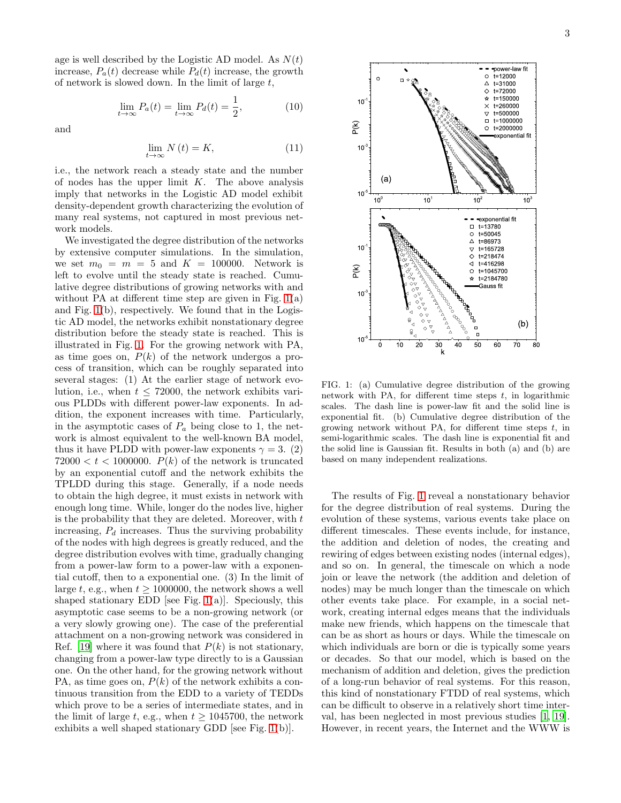age is well described by the Logistic AD model. As  $N(t)$ increase,  $P_a(t)$  decrease while  $P_d(t)$  increase, the growth of network is slowed down. In the limit of large  $t$ ,

$$
\lim_{t \to \infty} P_a(t) = \lim_{t \to \infty} P_d(t) = \frac{1}{2},\tag{10}
$$

and

$$
\lim_{t \to \infty} N(t) = K,\tag{11}
$$

i.e., the network reach a steady state and the number of nodes has the upper limit  $K$ . The above analysis imply that networks in the Logistic AD model exhibit density-dependent growth characterizing the evolution of many real systems, not captured in most previous network models.

We investigated the degree distribution of the networks by extensive computer simulations. In the simulation, we set  $m_0 = m = 5$  and  $K = 100000$ . Network is left to evolve until the steady state is reached. Cumulative degree distributions of growing networks with and without PA at different time step are given in Fig. [1\(](#page-2-0)a) and Fig. [1\(](#page-2-0)b), respectively. We found that in the Logistic AD model, the networks exhibit nonstationary degree distribution before the steady state is reached. This is illustrated in Fig. [1.](#page-2-0) For the growing network with PA, as time goes on,  $P(k)$  of the network undergos a process of transition, which can be roughly separated into several stages: (1) At the earlier stage of network evolution, i.e., when  $t \leq 72000$ , the network exhibits various PLDDs with different power-law exponents. In addition, the exponent increases with time. Particularly, in the asymptotic cases of  $P_a$  being close to 1, the network is almost equivalent to the well-known BA model, thus it have PLDD with power-law exponents  $\gamma = 3$ . (2)  $72000 < t < 1000000$ .  $P(k)$  of the network is truncated by an exponential cutoff and the network exhibits the TPLDD during this stage. Generally, if a node needs to obtain the high degree, it must exists in network with enough long time. While, longer do the nodes live, higher is the probability that they are deleted. Moreover, with  $t$ increasing,  $P_d$  increases. Thus the surviving probability of the nodes with high degrees is greatly reduced, and the degree distribution evolves with time, gradually changing from a power-law form to a power-law with a exponential cutoff, then to a exponential one. (3) In the limit of large t, e.g., when  $t \ge 1000000$ , the network shows a well shaped stationary EDD [see Fig.  $1(a)$ ]. Speciously, this asymptotic case seems to be a non-growing network (or a very slowly growing one). The case of the preferential attachment on a non-growing network was considered in Ref. [\[19\]](#page-3-16) where it was found that  $P(k)$  is not stationary, changing from a power-law type directly to is a Gaussian one. On the other hand, for the growing network without PA, as time goes on,  $P(k)$  of the network exhibits a continuous transition from the EDD to a variety of TEDDs which prove to be a series of intermediate states, and in the limit of large t, e.g., when  $t > 1045700$ , the network exhibits a well shaped stationary GDD [see Fig. [1\(](#page-2-0)b)].



<span id="page-2-0"></span>FIG. 1: (a) Cumulative degree distribution of the growing network with PA, for different time steps  $t$ , in logarithmic scales. The dash line is power-law fit and the solid line is exponential fit. (b) Cumulative degree distribution of the growing network without PA, for different time steps  $t$ , in semi-logarithmic scales. The dash line is exponential fit and the solid line is Gaussian fit. Results in both (a) and (b) are based on many independent realizations.

The results of Fig. [1](#page-2-0) reveal a nonstationary behavior for the degree distribution of real systems. During the evolution of these systems, various events take place on different timescales. These events include, for instance, the addition and deletion of nodes, the creating and rewiring of edges between existing nodes (internal edges), and so on. In general, the timescale on which a node join or leave the network (the addition and deletion of nodes) may be much longer than the timescale on which other events take place. For example, in a social network, creating internal edges means that the individuals make new friends, which happens on the timescale that can be as short as hours or days. While the timescale on which individuals are born or die is typically some years or decades. So that our model, which is based on the mechanism of addition and deletion, gives the prediction of a long-run behavior of real systems. For this reason, this kind of nonstationary FTDD of real systems, which can be difficult to observe in a relatively short time interval, has been neglected in most previous studies [\[1](#page-3-0), [19\]](#page-3-16). However, in recent years, the Internet and the WWW is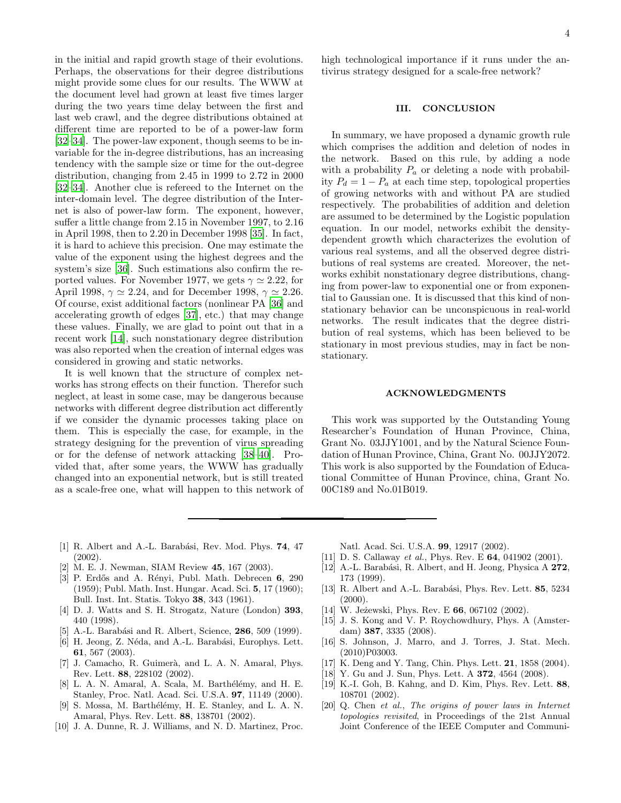in the initial and rapid growth stage of their evolutions. Perhaps, the observations for their degree distributions might provide some clues for our results. The WWW at the document level had grown at least five times larger during the two years time delay between the first and last web crawl, and the degree distributions obtained at different time are reported to be of a power-law form [\[32](#page-4-9)[–34\]](#page-4-10). The power-law exponent, though seems to be invariable for the in-degree distributions, has an increasing tendency with the sample size or time for the out-degree distribution, changing from 2.45 in 1999 to 2.72 in 2000 [\[32](#page-4-9)[–34\]](#page-4-10). Another clue is refereed to the Internet on the inter-domain level. The degree distribution of the Internet is also of power-law form. The exponent, however, suffer a little change from 2.15 in November 1997, to 2.16 in April 1998, then to 2.20 in December 1998 [\[35\]](#page-4-11). In fact, it is hard to achieve this precision. One may estimate the value of the exponent using the highest degrees and the system's size [\[36\]](#page-4-12). Such estimations also confirm the reported values. For November 1977, we gets  $\gamma \simeq 2.22$ , for April 1998,  $\gamma \simeq 2.24$ , and for December 1998,  $\gamma \simeq 2.26$ . Of course, exist additional factors (nonlinear PA [\[36\]](#page-4-12) and accelerating growth of edges [\[37](#page-4-13)], etc.) that may change these values. Finally, we are glad to point out that in a recent work [\[14](#page-3-18)], such nonstationary degree distribution was also reported when the creation of internal edges was considered in growing and static networks.

It is well known that the structure of complex networks has strong effects on their function. Therefor such neglect, at least in some case, may be dangerous because networks with different degree distribution act differently if we consider the dynamic processes taking place on them. This is especially the case, for example, in the strategy designing for the prevention of virus spreading or for the defense of network attacking [\[38](#page-4-14)[–40](#page-4-15)]. Provided that, after some years, the WWW has gradually changed into an exponential network, but is still treated as a scale-free one, what will happen to this network of

high technological importance if it runs under the antivirus strategy designed for a scale-free network?

#### III. CONCLUSION

In summary, we have proposed a dynamic growth rule which comprises the addition and deletion of nodes in the network. Based on this rule, by adding a node with a probability  $P_a$  or deleting a node with probability  $P_d = 1 - P_a$  at each time step, topological properties of growing networks with and without PA are studied respectively. The probabilities of addition and deletion are assumed to be determined by the Logistic population equation. In our model, networks exhibit the densitydependent growth which characterizes the evolution of various real systems, and all the observed degree distributions of real systems are created. Moreover, the networks exhibit nonstationary degree distributions, changing from power-law to exponential one or from exponential to Gaussian one. It is discussed that this kind of nonstationary behavior can be unconspicuous in real-world networks. The result indicates that the degree distribution of real systems, which has been believed to be stationary in most previous studies, may in fact be nonstationary.

### ACKNOWLEDGMENTS

This work was supported by the Outstanding Young Researcher's Foundation of Hunan Province, China, Grant No. 03JJY1001, and by the Natural Science Foundation of Hunan Province, China, Grant No. 00JJY2072. This work is also supported by the Foundation of Educational Committee of Hunan Province, china, Grant No. 00C189 and No.01B019.

- <span id="page-3-0"></span>[1] R. Albert and A.-L. Barabási, Rev. Mod. Phys. 74, 47 (2002).
- <span id="page-3-1"></span>[2] M. E. J. Newman, SIAM Review 45, 167 (2003).
- <span id="page-3-2"></span>[3] P. Erdős and A. Rényi, Publ. Math. Debrecen 6, 290 (1959); Publ. Math. Inst. Hungar. Acad. Sci. 5, 17 (1960); Bull. Inst. Int. Statis. Tokyo 38, 343 (1961).
- <span id="page-3-4"></span>[4] D. J. Watts and S. H. Strogatz, Nature (London) 393, 440 (1998).
- <span id="page-3-3"></span>[5] A.-L. Barabási and R. Albert, Science, **286**, 509 (1999).
- <span id="page-3-5"></span>[6] H. Jeong, Z. Néda, and A.-L. Barabási, Europhys. Lett. 61, 567 (2003).
- <span id="page-3-6"></span>[7] J. Camacho, R. Guimerà, and L. A. N. Amaral, Phys. Rev. Lett. 88, 228102 (2002).
- <span id="page-3-7"></span>[8] L. A. N. Amaral, A. Scala, M. Barthélémy, and H. E. Stanley, Proc. Natl. Acad. Sci. U.S.A. 97, 11149 (2000).
- <span id="page-3-8"></span>[9] S. Mossa, M. Barthélémy, H. E. Stanley, and L. A. N. Amaral, Phys. Rev. Lett. 88, 138701 (2002).
- <span id="page-3-9"></span>[10] J. A. Dunne, R. J. Williams, and N. D. Martinez, Proc.

Natl. Acad. Sci. U.S.A. 99, 12917 (2002).

- <span id="page-3-10"></span>[11] D. S. Callaway et al., Phys. Rev. E 64, 041902 (2001).
- <span id="page-3-11"></span>[12] A.-L. Barabási, R. Albert, and H. Jeong, Physica A 272, 173 (1999).
- <span id="page-3-12"></span>[13] R. Albert and A.-L. Barabási, Phys. Rev. Lett. 85, 5234  $(2000).$
- <span id="page-3-18"></span>[14] W. Jeżewski, Phys. Rev. E 66, 067102 (2002).
- [15] J. S. Kong and V. P. Roychowdhury, Phys. A (Amsterdam) 387, 3335 (2008).
- <span id="page-3-13"></span>[16] S. Johnson, J. Marro, and J. Torres, J. Stat. Mech. (2010)P03003.
- <span id="page-3-14"></span>[17] K. Deng and Y. Tang, Chin. Phys. Lett. **21**, 1858 (2004).
- <span id="page-3-15"></span>[18] Y. Gu and J. Sun, Phys. Lett. A 372, 4564 (2008).
- <span id="page-3-16"></span>[19] K.-I. Goh, B. Kahng, and D. Kim, Phys. Rev. Lett. 88, 108701 (2002).
- <span id="page-3-17"></span>[20] Q. Chen et al., The origins of power laws in Internet topologies revisited, in Proceedings of the 21st Annual Joint Conference of the IEEE Computer and Communi-